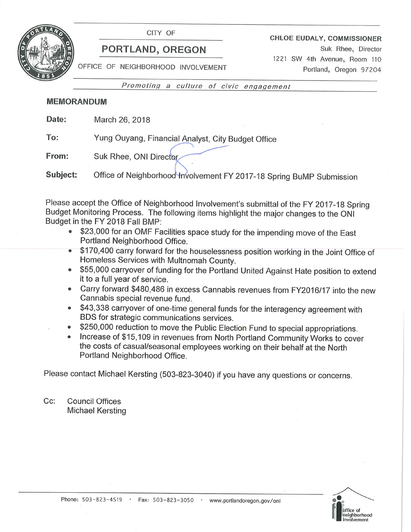

CITY OF

# PORTLAND, OREGON

**CHLOE EUDALY, COMMISSIONER** 

Suk Rhee, Director 1221 SW 4th Avenue, Room 110 Portland, Oregon 97204

OFFICE OF NEIGHBORHOOD INVOLVEMENT

Promoting a culture of civic engagement

# **MEMORANDUM**

Date: March 26, 2018

To: Yung Ouyang, Financial Analyst, City Budget Office

From: Suk Rhee, ONI Director.

Subject: Office of Neighborhood Involvement FY 2017-18 Spring BuMP Submission

Please accept the Office of Neighborhood Involvement's submittal of the FY 2017-18 Spring Budget Monitoring Process. The following items highlight the major changes to the ONI Budget in the FY 2018 Fall BMP:

- \$23,000 for an OMF Facilities space study for the impending move of the East Portland Neighborhood Office.
- \$170,400 carry forward for the houselessness position working in the Joint Office of Homeless Services with Multnomah County.
- \$55,000 carryover of funding for the Portland United Against Hate position to extend  $\bullet$ it to a full year of service.
- Carry forward \$480,486 in excess Cannabis revenues from FY2016/17 into the new  $\bullet$ Cannabis special revenue fund.
- \$43,338 carryover of one-time general funds for the interagency agreement with  $\bullet$ BDS for strategic communications services.
- \$250,000 reduction to move the Public Election Fund to special appropriations.
- Increase of \$15,109 in revenues from North Portland Community Works to cover  $\bullet$ the costs of casual/seasonal employees working on their behalf at the North Portland Neighborhood Office.

Please contact Michael Kersting (503-823-3040) if you have any questions or concerns.

 $Cc$ : **Council Offices** Michael Kersting

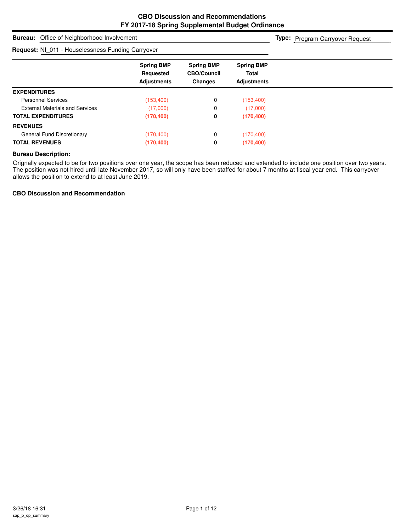# **Bureau:** Office of Neighborhood Involvement **Spring BMP Spring BMP Spring BMP Requested CBO/Council Total Adjustments Changes Adjustments Type:** Program Carryover Request **Request:** NI\_011 - Houselessness Funding Carryover **EXPENDITURES** Personnel Services (153,400) 0 (153,400) External Materials and Services (17,000) 0 (17,000) **TOTAL EXPENDITURES (170,400) 0 (170,400) REVENUES** General Fund Discretionary (170,400) 0 (170,400) 0 (170,400) **TOTAL REVENUES (170,400) 0 (170,400)**

#### **Bureau Description:**

Orignally expected to be for two positions over one year, the scope has been reduced and extended to include one position over two years. The position was not hired until late November 2017, so will only have been staffed for about 7 months at fiscal year end. This carryover allows the position to extend to at least June 2019.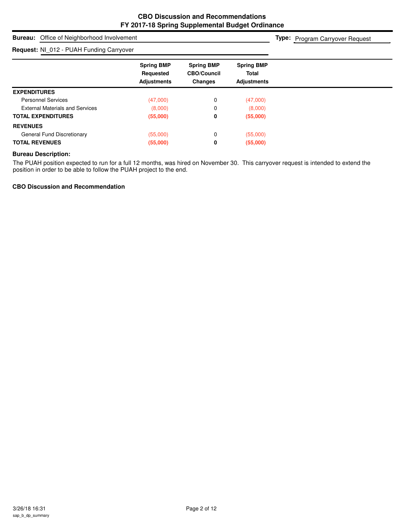**Type:** Program Carryover Request

# **Bureau:** Office of Neighborhood Involvement

## **Request:** NI\_012 - PUAH Funding Carryover

| <b>Request.</b> I'm U.E. TURN Franching Udity Over |                                                      |                                                    |                                                         |  |
|----------------------------------------------------|------------------------------------------------------|----------------------------------------------------|---------------------------------------------------------|--|
|                                                    | <b>Spring BMP</b><br>Requested<br><b>Adjustments</b> | <b>Spring BMP</b><br><b>CBO/Council</b><br>Changes | <b>Spring BMP</b><br><b>Total</b><br><b>Adjustments</b> |  |
| <b>EXPENDITURES</b>                                |                                                      |                                                    |                                                         |  |
| <b>Personnel Services</b>                          | (47,000)                                             | 0                                                  | (47,000)                                                |  |
| <b>External Materials and Services</b>             | (8,000)                                              | 0                                                  | (8,000)                                                 |  |
| <b>TOTAL EXPENDITURES</b>                          | (55,000)                                             | 0                                                  | (55,000)                                                |  |
| <b>REVENUES</b>                                    |                                                      |                                                    |                                                         |  |
| General Fund Discretionary                         | (55,000)                                             | 0                                                  | (55,000)                                                |  |
| <b>TOTAL REVENUES</b>                              | (55,000)                                             | 0                                                  | (55,000)                                                |  |

#### **Bureau Description:**

The PUAH position expected to run for a full 12 months, was hired on November 30. This carryover request is intended to extend the position in order to be able to follow the PUAH project to the end.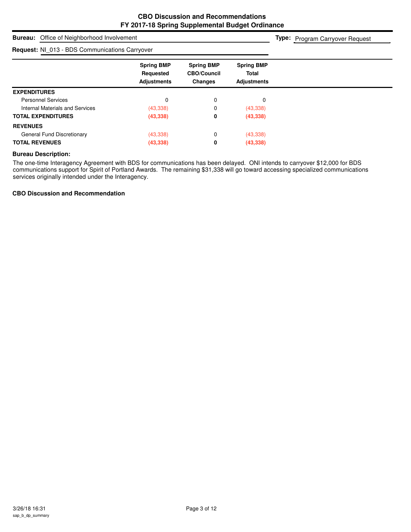**Type:** Program Carryover Request

**Bureau:** Office of Neighborhood Involvement

| <b>Request: NI 013 - BDS Communications Carryover</b> |                                                      |                                                           |                                                         |  |
|-------------------------------------------------------|------------------------------------------------------|-----------------------------------------------------------|---------------------------------------------------------|--|
|                                                       | <b>Spring BMP</b><br>Requested<br><b>Adjustments</b> | <b>Spring BMP</b><br><b>CBO/Council</b><br><b>Changes</b> | <b>Spring BMP</b><br><b>Total</b><br><b>Adjustments</b> |  |
| <b>EXPENDITURES</b>                                   |                                                      |                                                           |                                                         |  |
| <b>Personnel Services</b>                             | 0                                                    | 0                                                         | 0                                                       |  |
| Internal Materials and Services                       | (43, 338)                                            | 0                                                         | (43, 338)                                               |  |
| <b>TOTAL EXPENDITURES</b>                             | (43, 338)                                            | 0                                                         | (43, 338)                                               |  |
| <b>REVENUES</b>                                       |                                                      |                                                           |                                                         |  |
| General Fund Discretionary                            | (43, 338)                                            | 0                                                         | (43, 338)                                               |  |
| <b>TOTAL REVENUES</b>                                 | (43, 338)                                            | 0                                                         | (43, 338)                                               |  |

#### **Bureau Description:**

The one-time Interagency Agreement with BDS for communications has been delayed. ONI intends to carryover \$12,000 for BDS communications support for Spirit of Portland Awards. The remaining \$31,338 will go toward accessing specialized communications services originally intended under the Interagency.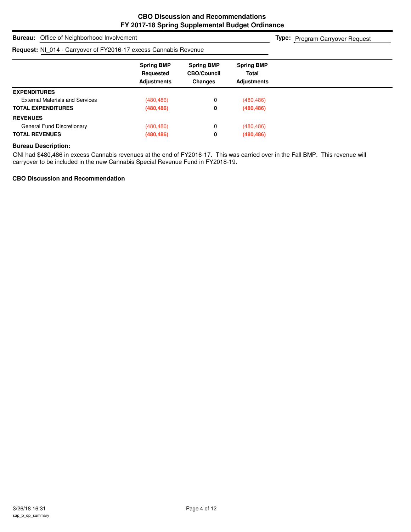**Type:** Program Carryover Request

# **Bureau:** Office of Neighborhood Involvement

## **Request:** NI\_014 - Carryover of FY2016-17 excess Cannabis Revenue

| <b>Request:</b> NI 014 - Carryover of FY2016-17 excess Cannabis Revenue |                                                      |                                                           |                                                         |  |
|-------------------------------------------------------------------------|------------------------------------------------------|-----------------------------------------------------------|---------------------------------------------------------|--|
|                                                                         | <b>Spring BMP</b><br>Requested<br><b>Adjustments</b> | <b>Spring BMP</b><br><b>CBO/Council</b><br><b>Changes</b> | <b>Spring BMP</b><br><b>Total</b><br><b>Adjustments</b> |  |
| <b>EXPENDITURES</b>                                                     |                                                      |                                                           |                                                         |  |
| <b>External Materials and Services</b>                                  | (480, 486)                                           | 0                                                         | (480, 486)                                              |  |
| <b>TOTAL EXPENDITURES</b>                                               | (480, 486)                                           | 0                                                         | (480, 486)                                              |  |
| <b>REVENUES</b>                                                         |                                                      |                                                           |                                                         |  |
| General Fund Discretionary                                              | (480, 486)                                           | 0                                                         | (480, 486)                                              |  |
| <b>TOTAL REVENUES</b>                                                   | (480, 486)                                           | 0                                                         | (480, 486)                                              |  |

#### **Bureau Description:**

ONI had \$480,486 in excess Cannabis revenues at the end of FY2016-17. This was carried over in the Fall BMP. This revenue will carryover to be included in the new Cannabis Special Revenue Fund in FY2018-19.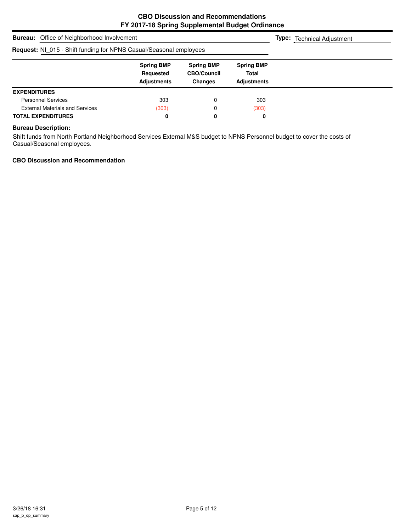| <b>Bureau:</b> Office of Neighborhood Involvement                  |                                                      |                                                           |                                                         | <b>Type:</b> Technical Adjustment |
|--------------------------------------------------------------------|------------------------------------------------------|-----------------------------------------------------------|---------------------------------------------------------|-----------------------------------|
| Request: NI_015 - Shift funding for NPNS Casual/Seasonal employees |                                                      |                                                           |                                                         |                                   |
|                                                                    | <b>Spring BMP</b><br>Requested<br><b>Adjustments</b> | <b>Spring BMP</b><br><b>CBO/Council</b><br><b>Changes</b> | <b>Spring BMP</b><br><b>Total</b><br><b>Adjustments</b> |                                   |
| <b>EXPENDITURES</b>                                                |                                                      |                                                           |                                                         |                                   |
| <b>Personnel Services</b>                                          | 303                                                  |                                                           | 303                                                     |                                   |
| <b>External Materials and Services</b>                             | (303)                                                |                                                           | (303)                                                   |                                   |
| <b>TOTAL EXPENDITURES</b>                                          | 0                                                    | 0                                                         | 0                                                       |                                   |

## **Bureau Description:**

Shift funds from North Portland Neighborhood Services External M&S budget to NPNS Personnel budget to cover the costs of Casual/Seasonal employees.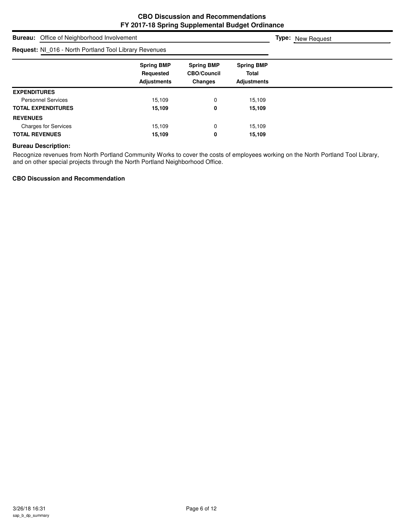| <b>Bureau:</b> Office of Neighborhood Involvement      |                                                      |                                                           |                                                         | <b>Type:</b> New Request |
|--------------------------------------------------------|------------------------------------------------------|-----------------------------------------------------------|---------------------------------------------------------|--------------------------|
| Request: NI_016 - North Portland Tool Library Revenues |                                                      |                                                           |                                                         |                          |
|                                                        | <b>Spring BMP</b><br>Requested<br><b>Adjustments</b> | <b>Spring BMP</b><br><b>CBO/Council</b><br><b>Changes</b> | <b>Spring BMP</b><br><b>Total</b><br><b>Adjustments</b> |                          |
| <b>EXPENDITURES</b>                                    |                                                      |                                                           |                                                         |                          |
| <b>Personnel Services</b>                              | 15,109                                               | 0                                                         | 15,109                                                  |                          |
| <b>TOTAL EXPENDITURES</b>                              | 15,109                                               | 0                                                         | 15,109                                                  |                          |
| <b>REVENUES</b>                                        |                                                      |                                                           |                                                         |                          |
| <b>Charges for Services</b>                            | 15,109                                               | 0                                                         | 15,109                                                  |                          |
| <b>TOTAL REVENUES</b>                                  | 15,109                                               | 0                                                         | 15,109                                                  |                          |

#### **Bureau Description:**

Recognize revenues from North Portland Community Works to cover the costs of employees working on the North Portland Tool Library, and on other special projects through the North Portland Neighborhood Office.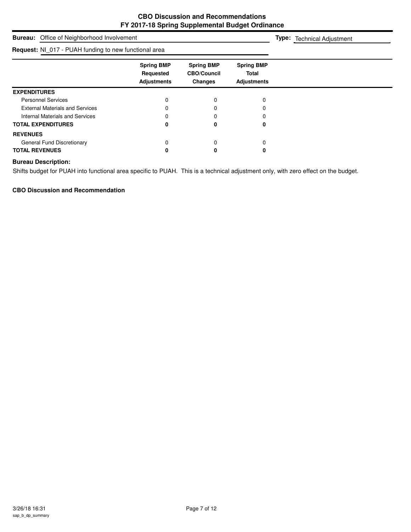| <b>Bureau:</b> Office of Neighborhood Involvement     | <b>Type:</b> Technical Adjustment                    |                                                           |                                                         |  |
|-------------------------------------------------------|------------------------------------------------------|-----------------------------------------------------------|---------------------------------------------------------|--|
| Request: NI_017 - PUAH funding to new functional area |                                                      |                                                           |                                                         |  |
|                                                       | <b>Spring BMP</b><br>Requested<br><b>Adjustments</b> | <b>Spring BMP</b><br><b>CBO/Council</b><br><b>Changes</b> | <b>Spring BMP</b><br><b>Total</b><br><b>Adjustments</b> |  |
| <b>EXPENDITURES</b>                                   |                                                      |                                                           |                                                         |  |
| <b>Personnel Services</b>                             |                                                      |                                                           |                                                         |  |
| <b>External Materials and Services</b>                |                                                      |                                                           |                                                         |  |
| Internal Materials and Services                       |                                                      |                                                           |                                                         |  |
| <b>TOTAL EXPENDITURES</b>                             | 0                                                    | 0                                                         | 0                                                       |  |
| <b>REVENUES</b>                                       |                                                      |                                                           |                                                         |  |
| General Fund Discretionary                            | 0                                                    |                                                           | 0                                                       |  |
| <b>TOTAL REVENUES</b>                                 |                                                      |                                                           | 0                                                       |  |

#### **Bureau Description:**

Shifts budget for PUAH into functional area specific to PUAH. This is a technical adjustment only, with zero effect on the budget.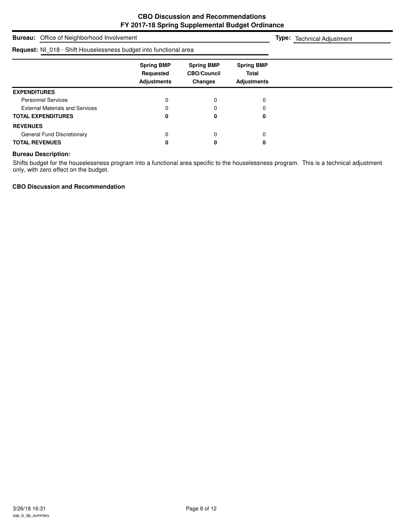# **Bureau:** Office of Neighborhood Involvement **Spring BMP Spring BMP Spring BMP Requested CBO/Council Total Adjustments Changes Adjustments Type:** Technical Adjustment **Request:** NI\_018 - Shift Houselessness budget into functional area **EXPENDITURES** Personnel Services and the contract of the contract of the contract of the contract of the contract of the contract of the contract of the contract of the contract of the contract of the contract of the contract of the con External Materials and Services 0 0 0 **TOTAL EXPENDITURES 0 0 0 REVENUES** General Fund Discretionary and the control of the control of the control of the control of the control of the control of the control of the control of the control of the control of the control of the control of the control **TOTAL REVENUES 0 0 0**

#### **Bureau Description:**

Shifts budget for the houselessness program into a functional area specific to the houselessness program. This is a technical adjustment only, with zero effect on the budget.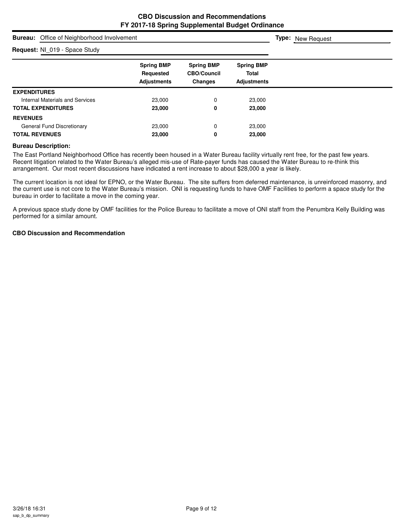**Type:** New Request

## **Bureau:** Office of Neighborhood Involvement

#### **Request:** NI\_019 - Space Study

| <b>Request:</b> NL 019 - Space Study |                                                      |                                                           |                                                         |  |
|--------------------------------------|------------------------------------------------------|-----------------------------------------------------------|---------------------------------------------------------|--|
|                                      | <b>Spring BMP</b><br>Requested<br><b>Adjustments</b> | <b>Spring BMP</b><br><b>CBO/Council</b><br><b>Changes</b> | <b>Spring BMP</b><br><b>Total</b><br><b>Adjustments</b> |  |
| <b>EXPENDITURES</b>                  |                                                      |                                                           |                                                         |  |
| Internal Materials and Services      | 23,000                                               | 0                                                         | 23,000                                                  |  |
| <b>TOTAL EXPENDITURES</b>            | 23,000                                               | 0                                                         | 23,000                                                  |  |
| <b>REVENUES</b>                      |                                                      |                                                           |                                                         |  |
| General Fund Discretionary           | 23,000                                               | 0                                                         | 23,000                                                  |  |
| <b>TOTAL REVENUES</b>                | 23,000                                               | 0                                                         | 23,000                                                  |  |

#### **Bureau Description:**

The East Portland Neighborhood Office has recently been housed in a Water Bureau facility virtually rent free, for the past few years. Recent litigation related to the Water Bureau's alleged mis-use of Rate-payer funds has caused the Water Bureau to re-think this arrangement. Our most recent discussions have indicated a rent increase to about \$28,000 a year is likely.

The current location is not ideal for EPNO, or the Water Bureau. The site suffers from deferred maintenance, is unreinforced masonry, and the current use is not core to the Water Bureau's mission. ONI is requesting funds to have OMF Facilities to perform a space study for the bureau in order to facilitate a move in the coming year.

A previous space study done by OMF facilities for the Police Bureau to facilitate a move of ONI staff from the Penumbra Kelly Building was performed for a similar amount.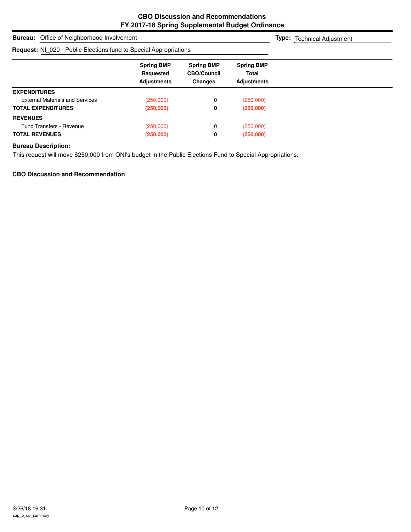| <b>Bureau:</b> Office of Neighborhood Involvement                        |                                                      |                                                           |                                                         |  | <b>Type:</b> Technical Adjustment |
|--------------------------------------------------------------------------|------------------------------------------------------|-----------------------------------------------------------|---------------------------------------------------------|--|-----------------------------------|
| <b>Request:</b> NI 020 - Public Elections fund to Special Appropriations |                                                      |                                                           |                                                         |  |                                   |
|                                                                          | <b>Spring BMP</b><br>Requested<br><b>Adjustments</b> | <b>Spring BMP</b><br><b>CBO/Council</b><br><b>Changes</b> | <b>Spring BMP</b><br><b>Total</b><br><b>Adjustments</b> |  |                                   |
| <b>EXPENDITURES</b>                                                      |                                                      |                                                           |                                                         |  |                                   |
| <b>External Materials and Services</b>                                   | (250,000)                                            | 0                                                         | (250,000)                                               |  |                                   |
| <b>TOTAL EXPENDITURES</b>                                                | (250,000)                                            | 0                                                         | (250,000)                                               |  |                                   |
| <b>REVENUES</b>                                                          |                                                      |                                                           |                                                         |  |                                   |
| Fund Transfers - Revenue                                                 | (250,000)                                            | 0                                                         | (250,000)                                               |  |                                   |
| <b>TOTAL REVENUES</b>                                                    | (250,000)                                            | 0                                                         | (250,000)                                               |  |                                   |

## **Bureau Description:**

This request will move \$250,000 from ONI's budget in the Public Elections Fund to Special Appropriations.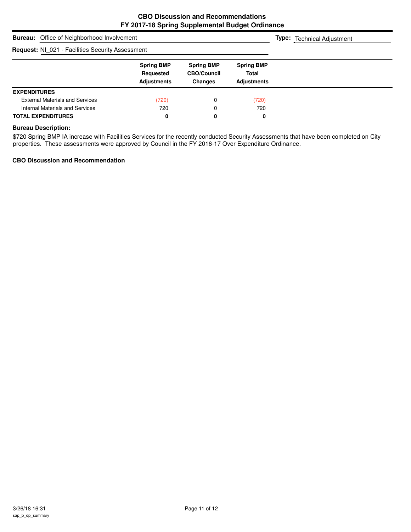| <b>Bureau:</b> Office of Neighborhood Involvement       |                                                      |                                                           |                                                         | <b>Type:</b> Technical Adjustment |
|---------------------------------------------------------|------------------------------------------------------|-----------------------------------------------------------|---------------------------------------------------------|-----------------------------------|
| <b>Request: NI 021 - Facilities Security Assessment</b> |                                                      |                                                           |                                                         |                                   |
|                                                         | <b>Spring BMP</b><br>Requested<br><b>Adjustments</b> | <b>Spring BMP</b><br><b>CBO/Council</b><br><b>Changes</b> | <b>Spring BMP</b><br><b>Total</b><br><b>Adjustments</b> |                                   |
| <b>EXPENDITURES</b>                                     |                                                      |                                                           |                                                         |                                   |
| <b>External Materials and Services</b>                  | (720)                                                | 0                                                         | (720)                                                   |                                   |
| Internal Materials and Services                         | 720                                                  | 0                                                         | 720                                                     |                                   |
| <b>TOTAL EXPENDITURES</b>                               | 0                                                    | 0                                                         | 0                                                       |                                   |

## **Bureau Description:**

\$720 Spring BMP IA increase with Facilities Services for the recently conducted Security Assessments that have been completed on City properties. These assessments were approved by Council in the FY 2016-17 Over Expenditure Ordinance.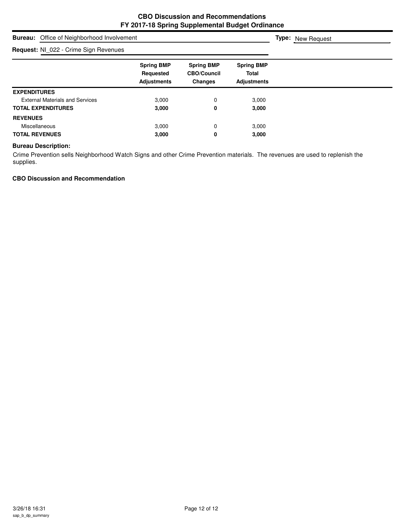# **Bureau:** Office of Neighborhood Involvement **Spring BMP Spring BMP Spring BMP Requested CBO/Council Total Adjustments Changes Adjustments Type:** New Request **Request:** NI\_022 - Crime Sign Revenues **EXPENDITURES** External Materials and Services **3,000** 3,000 0 3,000 **TOTAL EXPENDITURES 3,000 0 3,000 REVENUES** Miscellaneous 3,000 0 3,000 **TOTAL REVENUES 3,000 0 3,000**

#### **Bureau Description:**

Crime Prevention sells Neighborhood Watch Signs and other Crime Prevention materials. The revenues are used to replenish the supplies.